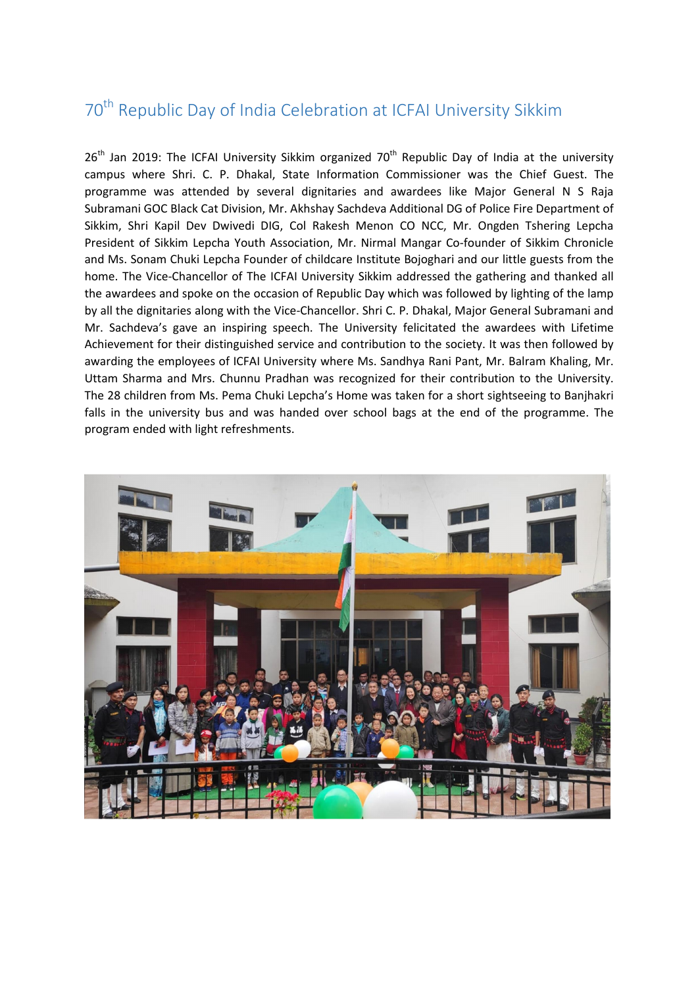## 70<sup>th</sup> Republic Day of India Celebration at ICFAI University Sikkim

26<sup>th</sup> Jan 2019: The ICFAI University Sikkim organized 70<sup>th</sup> Republic Day of India at the university campus where Shri. C. P. Dhakal, State Information Commissioner was the Chief Guest. The programme was attended by several dignitaries and awardees like Major General N S Raja Subramani GOC Black Cat Division, Mr. Akhshay Sachdeva Additional DG of Police Fire Department of Sikkim, Shri Kapil Dev Dwivedi DIG, Col Rakesh Menon CO NCC, Mr. Ongden Tshering Lepcha President of Sikkim Lepcha Youth Association, Mr. Nirmal Mangar Co-founder of Sikkim Chronicle and Ms. Sonam Chuki Lepcha Founder of childcare Institute Bojoghari and our little guests from the home. The Vice-Chancellor of The ICFAI University Sikkim addressed the gathering and thanked all the awardees and spoke on the occasion of Republic Day which was followed by lighting of the lamp by all the dignitaries along with the Vice-Chancellor. Shri C. P. Dhakal, Major General Subramani and Mr. Sachdeva's gave an inspiring speech. The University felicitated the awardees with Lifetime Achievement for their distinguished service and contribution to the society. It was then followed by awarding the employees of ICFAI University where Ms. Sandhya Rani Pant, Mr. Balram Khaling, Mr. Uttam Sharma and Mrs. Chunnu Pradhan was recognized for their contribution to the University. The 28 children from Ms. Pema Chuki Lepcha's Home was taken for a short sightseeing to Banjhakri falls in the university bus and was handed over school bags at the end of the programme. The program ended with light refreshments.

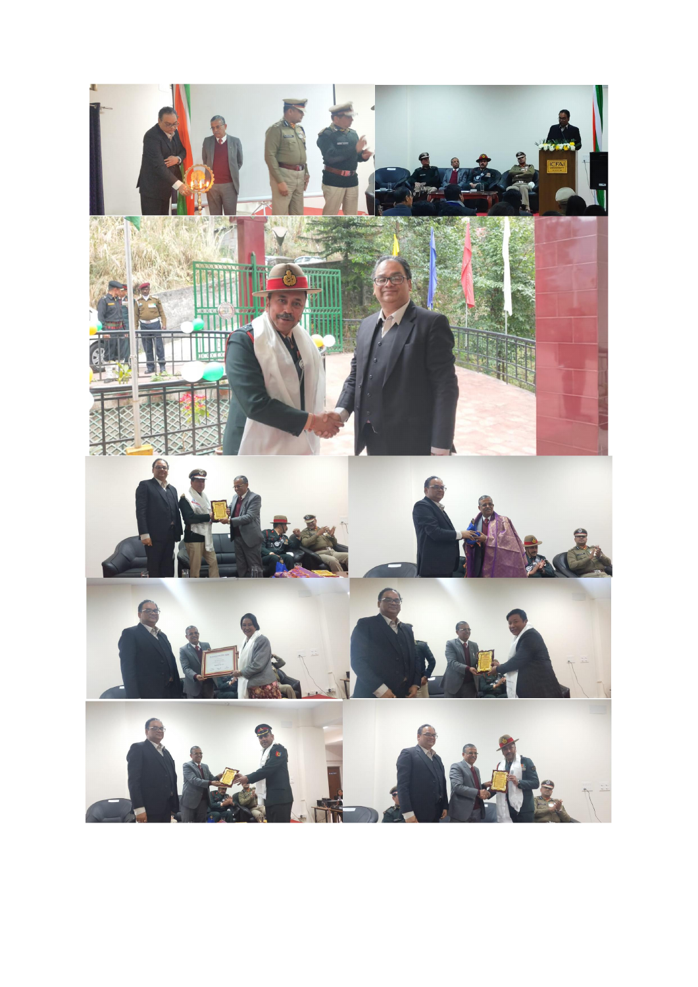